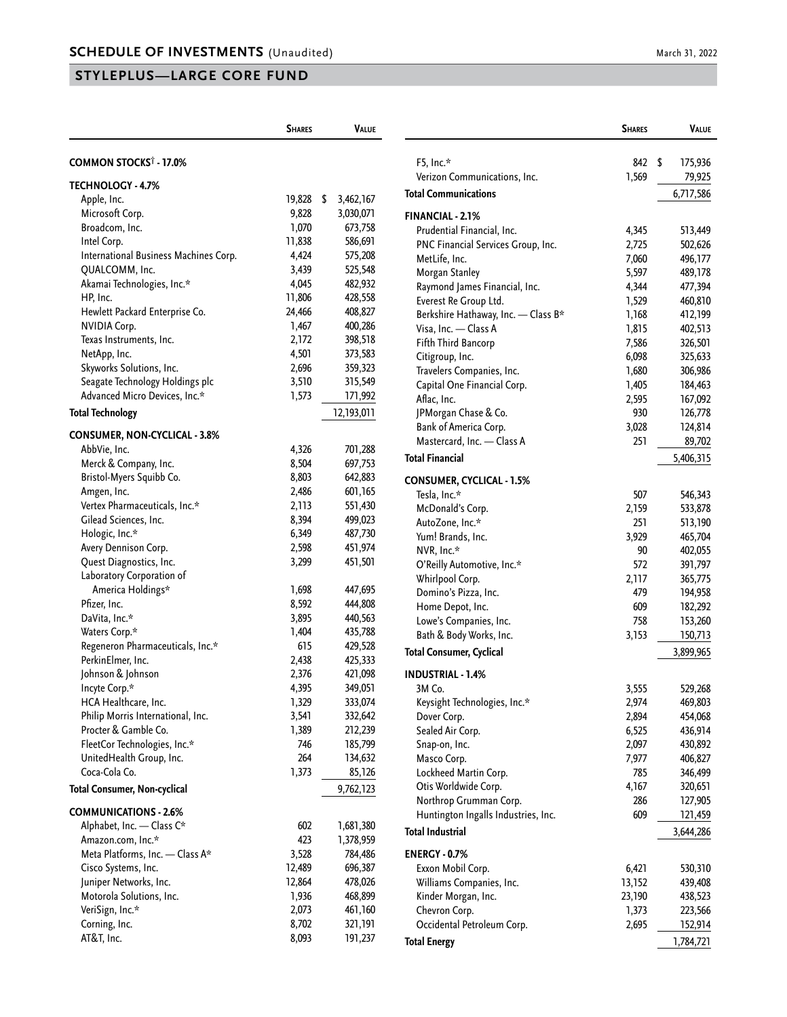## **STYLEPLUS—LARGE CORE FUND**

|                                       | <b>SHARES</b> | <b>VALUE</b>    |
|---------------------------------------|---------------|-----------------|
| COMMON STOCKS <sup>†</sup> - 17.0%    |               |                 |
| <b>TECHNOLOGY - 4.7%</b>              |               |                 |
| Apple, Inc.                           | 19,828        | \$<br>3,462,167 |
| Microsoft Corp.                       | 9,828         | 3,030,071       |
| Broadcom, Inc.                        | 1,070         | 673,758         |
| Intel Corp.                           | 11,838        | 586,691         |
| International Business Machines Corp. | 4,424         | 575,208         |
| QUALCOMM, Inc.                        | 3,439         | 525,548         |
| Akamai Technologies, Inc.*            | 4,045         | 482,932         |
| HP, Inc.                              | 11,806        | 428,558         |
| Hewlett Packard Enterprise Co.        | 24,466        | 408,827         |
| <b>NVIDIA Corp.</b>                   | 1,467         | 400,286         |
| Texas Instruments, Inc.               | 2,172         | 398,518         |
| NetApp, Inc.                          | 4,501         | 373,583         |
| Skyworks Solutions, Inc.              | 2,696         | 359,323         |
| Seagate Technology Holdings plc       | 3,510         | 315,549         |
| Advanced Micro Devices, Inc.*         | 1,573         | 171,992         |
| <b>Total Technology</b>               |               | 12,193,011      |
|                                       |               |                 |
| <b>CONSUMER, NON-CYCLICAL - 3.8%</b>  |               |                 |
| AbbVie, Inc.                          | 4,326         | 701,288         |
| Merck & Company, Inc.                 | 8,504         | 697,753         |
| Bristol-Myers Squibb Co.              | 8,803         | 642,883         |
| Amgen, Inc.                           | 2,486         | 601,165         |
| Vertex Pharmaceuticals, Inc.*         | 2,113         | 551,430         |
| Gilead Sciences, Inc.                 | 8,394         | 499,023         |
| Hologic, Inc.*                        | 6,349         | 487,730         |
| Avery Dennison Corp.                  | 2,598         | 451,974         |
| Quest Diagnostics, Inc.               | 3,299         | 451,501         |
| Laboratory Corporation of             |               |                 |
| America Holdings*                     | 1,698         | 447,695         |
| Pfizer, Inc.                          | 8,592         | 444,808         |
| DaVita, Inc.*                         | 3,895         | 440,563         |
| Waters Corp.*                         | 1,404         | 435,788         |
| Regeneron Pharmaceuticals, Inc.*      | 615           | 429,528         |
| PerkinElmer, Inc.                     | 2,438         | 425,333         |
| Johnson & Johnson                     | 2,376         | 421,098         |
| Incyte Corp.*                         | 4,395         | 349,051         |
| HCA Healthcare, Inc.                  | 1,329         | 333,074         |
| Philip Morris International, Inc.     | 3,541         | 332,642         |
| Procter & Gamble Co.                  | 1,389         | 212,239         |
| FleetCor Technologies, Inc.*          | 746           | 185,799         |
| UnitedHealth Group, Inc.              | 264           | 134,632         |
| Coca-Cola Co.                         | 1,373         | 85,126          |
| <b>Total Consumer, Non-cyclical</b>   |               | 9,762,123       |
| <b>COMMUNICATIONS - 2.6%</b>          |               |                 |
| Alphabet, Inc. - Class C*             | 602           | 1,681,380       |
| Amazon.com, Inc.*                     | 423           | 1,378,959       |
| Meta Platforms, Inc. - Class A*       | 3,528         | 784,486         |
| Cisco Systems, Inc.                   | 12,489        | 696,387         |
| Juniper Networks, Inc.                | 12,864        | 478,026         |
| Motorola Solutions, Inc.              | 1,936         | 468,899         |
| VeriSign, Inc.*                       | 2,073         | 461,160         |
| Corning, Inc.                         | 8,702         | 321,191         |
| AT&T, Inc.                            | 8,093         | 191,237         |

|                                                       | <b>SHARES</b>  | <b>VALUE</b>            |
|-------------------------------------------------------|----------------|-------------------------|
|                                                       |                |                         |
| $F5$ , Inc.*<br>Verizon Communications, Inc.          | 842<br>1,569   | \$<br>175,936<br>79,925 |
| <b>Total Communications</b>                           |                | 6,717,586               |
|                                                       |                |                         |
| <b>FINANCIAL - 2.1%</b><br>Prudential Financial, Inc. |                |                         |
| PNC Financial Services Group, Inc.                    | 4,345<br>2,725 | 513,449<br>502,626      |
| MetLife, Inc.                                         | 7,060          | 496,177                 |
| Morgan Stanley                                        | 5,597          | 489,178                 |
| Raymond James Financial, Inc.                         | 4,344          | 477,394                 |
| Everest Re Group Ltd.                                 | 1,529          | 460,810                 |
| Berkshire Hathaway, Inc. - Class B*                   | 1,168          | 412,199                 |
| Visa, Inc. - Class A                                  | 1,815          | 402,513                 |
| Fifth Third Bancorp                                   | 7,586          | 326,501                 |
| Citigroup, Inc.                                       | 6,098          | 325,633                 |
| Travelers Companies, Inc.                             | 1,680          | 306,986                 |
| Capital One Financial Corp.                           | 1,405          | 184,463                 |
| Aflac, Inc.                                           | 2,595          | 167,092                 |
| JPMorgan Chase & Co.                                  | 930            | 126,778                 |
| Bank of America Corp.                                 | 3,028          | 124,814                 |
| Mastercard, Inc. - Class A                            | 251            | 89,702                  |
| <b>Total Financial</b>                                |                | 5,406,315               |
| CONSUMER, CYCLICAL - 1.5%                             |                |                         |
| Tesla, Inc.*                                          | 507            | 546,343                 |
| McDonald's Corp.                                      | 2,159          | 533,878                 |
| AutoZone, Inc.*                                       | 251            | 513,190                 |
| Yum! Brands, Inc.                                     | 3,929          | 465,704                 |
| NVR, Inc.*                                            | 90             | 402,055                 |
| O'Reilly Automotive, Inc.*                            | 572            | 391,797                 |
| Whirlpool Corp.                                       | 2,117          | 365,775                 |
| Domino's Pizza, Inc.                                  | 479<br>609     | 194,958                 |
| Home Depot, Inc.<br>Lowe's Companies, Inc.            | 758            | 182,292                 |
| Bath & Body Works, Inc.                               | 3,153          | 153,260<br>150,713      |
| <b>Total Consumer, Cyclical</b>                       |                | 3,899,965               |
| <b>INDUSTRIAL - 1.4%</b>                              |                |                         |
| 3M Co.                                                | 3,555          | 529,268                 |
| Keysight Technologies, Inc.*                          | 2,974          | 469,803                 |
| Dover Corp.                                           | 2,894          | 454,068                 |
| Sealed Air Corp.                                      | 6,525          | 436,914                 |
| Snap-on, Inc.                                         | 2,097          | 430,892                 |
| Masco Corp.                                           | 7,977          | 406,827                 |
| Lockheed Martin Corp.                                 | 785            | 346,499                 |
| Otis Worldwide Corp.                                  | 4,167          | 320,651                 |
| Northrop Grumman Corp.                                | 286            | 127,905                 |
| Huntington Ingalls Industries, Inc.                   | 609            | 121,459                 |
| <b>Total Industrial</b>                               |                | 3,644,286               |
| <b>ENERGY - 0.7%</b>                                  |                |                         |
| Exxon Mobil Corp.                                     | 6,421          | 530,310                 |
| Williams Companies, Inc.                              | 13,152         | 439,408                 |
| Kinder Morgan, Inc.                                   | 23,190         | 438,523                 |
| Chevron Corp.                                         | 1,373          | 223,566                 |
| Occidental Petroleum Corp.                            | 2,695          | 152,914                 |
| <b>Total Energy</b>                                   |                | 1,784,721               |